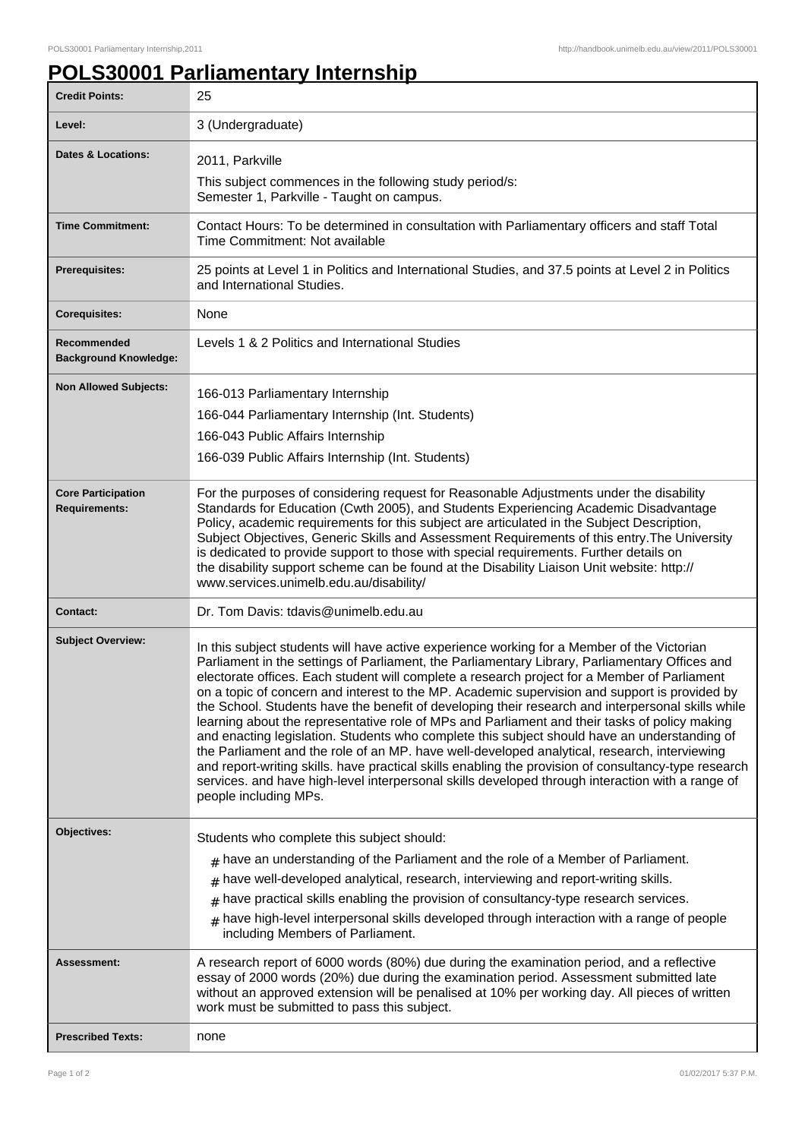## **POLS30001 Parliamentary Internship**

| 3 (Undergraduate)<br>Level:<br><b>Dates &amp; Locations:</b><br>2011, Parkville<br>This subject commences in the following study period/s:<br>Semester 1, Parkville - Taught on campus.<br><b>Time Commitment:</b><br>Contact Hours: To be determined in consultation with Parliamentary officers and staff Total<br>Time Commitment: Not available<br>25 points at Level 1 in Politics and International Studies, and 37.5 points at Level 2 in Politics<br><b>Prerequisites:</b><br>and International Studies.<br><b>Corequisites:</b><br>None<br>Levels 1 & 2 Politics and International Studies<br>Recommended<br><b>Background Knowledge:</b><br><b>Non Allowed Subjects:</b><br>166-013 Parliamentary Internship<br>166-044 Parliamentary Internship (Int. Students)<br>166-043 Public Affairs Internship<br>166-039 Public Affairs Internship (Int. Students)<br>For the purposes of considering request for Reasonable Adjustments under the disability<br><b>Core Participation</b><br>Standards for Education (Cwth 2005), and Students Experiencing Academic Disadvantage<br><b>Requirements:</b><br>Policy, academic requirements for this subject are articulated in the Subject Description,<br>Subject Objectives, Generic Skills and Assessment Requirements of this entry. The University<br>is dedicated to provide support to those with special requirements. Further details on<br>the disability support scheme can be found at the Disability Liaison Unit website: http://<br>www.services.unimelb.edu.au/disability/ |
|-----------------------------------------------------------------------------------------------------------------------------------------------------------------------------------------------------------------------------------------------------------------------------------------------------------------------------------------------------------------------------------------------------------------------------------------------------------------------------------------------------------------------------------------------------------------------------------------------------------------------------------------------------------------------------------------------------------------------------------------------------------------------------------------------------------------------------------------------------------------------------------------------------------------------------------------------------------------------------------------------------------------------------------------------------------------------------------------------------------------------------------------------------------------------------------------------------------------------------------------------------------------------------------------------------------------------------------------------------------------------------------------------------------------------------------------------------------------------------------------------------------------------------------------------|
|                                                                                                                                                                                                                                                                                                                                                                                                                                                                                                                                                                                                                                                                                                                                                                                                                                                                                                                                                                                                                                                                                                                                                                                                                                                                                                                                                                                                                                                                                                                                               |
|                                                                                                                                                                                                                                                                                                                                                                                                                                                                                                                                                                                                                                                                                                                                                                                                                                                                                                                                                                                                                                                                                                                                                                                                                                                                                                                                                                                                                                                                                                                                               |
|                                                                                                                                                                                                                                                                                                                                                                                                                                                                                                                                                                                                                                                                                                                                                                                                                                                                                                                                                                                                                                                                                                                                                                                                                                                                                                                                                                                                                                                                                                                                               |
|                                                                                                                                                                                                                                                                                                                                                                                                                                                                                                                                                                                                                                                                                                                                                                                                                                                                                                                                                                                                                                                                                                                                                                                                                                                                                                                                                                                                                                                                                                                                               |
|                                                                                                                                                                                                                                                                                                                                                                                                                                                                                                                                                                                                                                                                                                                                                                                                                                                                                                                                                                                                                                                                                                                                                                                                                                                                                                                                                                                                                                                                                                                                               |
|                                                                                                                                                                                                                                                                                                                                                                                                                                                                                                                                                                                                                                                                                                                                                                                                                                                                                                                                                                                                                                                                                                                                                                                                                                                                                                                                                                                                                                                                                                                                               |
|                                                                                                                                                                                                                                                                                                                                                                                                                                                                                                                                                                                                                                                                                                                                                                                                                                                                                                                                                                                                                                                                                                                                                                                                                                                                                                                                                                                                                                                                                                                                               |
|                                                                                                                                                                                                                                                                                                                                                                                                                                                                                                                                                                                                                                                                                                                                                                                                                                                                                                                                                                                                                                                                                                                                                                                                                                                                                                                                                                                                                                                                                                                                               |
|                                                                                                                                                                                                                                                                                                                                                                                                                                                                                                                                                                                                                                                                                                                                                                                                                                                                                                                                                                                                                                                                                                                                                                                                                                                                                                                                                                                                                                                                                                                                               |
|                                                                                                                                                                                                                                                                                                                                                                                                                                                                                                                                                                                                                                                                                                                                                                                                                                                                                                                                                                                                                                                                                                                                                                                                                                                                                                                                                                                                                                                                                                                                               |
|                                                                                                                                                                                                                                                                                                                                                                                                                                                                                                                                                                                                                                                                                                                                                                                                                                                                                                                                                                                                                                                                                                                                                                                                                                                                                                                                                                                                                                                                                                                                               |
|                                                                                                                                                                                                                                                                                                                                                                                                                                                                                                                                                                                                                                                                                                                                                                                                                                                                                                                                                                                                                                                                                                                                                                                                                                                                                                                                                                                                                                                                                                                                               |
| Dr. Tom Davis: tdavis@unimelb.edu.au<br><b>Contact:</b>                                                                                                                                                                                                                                                                                                                                                                                                                                                                                                                                                                                                                                                                                                                                                                                                                                                                                                                                                                                                                                                                                                                                                                                                                                                                                                                                                                                                                                                                                       |
| <b>Subject Overview:</b><br>In this subject students will have active experience working for a Member of the Victorian<br>Parliament in the settings of Parliament, the Parliamentary Library, Parliamentary Offices and<br>electorate offices. Each student will complete a research project for a Member of Parliament<br>on a topic of concern and interest to the MP. Academic supervision and support is provided by<br>the School. Students have the benefit of developing their research and interpersonal skills while<br>learning about the representative role of MPs and Parliament and their tasks of policy making<br>and enacting legislation. Students who complete this subject should have an understanding of<br>the Parliament and the role of an MP. have well-developed analytical, research, interviewing<br>and report-writing skills. have practical skills enabling the provision of consultancy-type research<br>services. and have high-level interpersonal skills developed through interaction with a range of<br>people including MPs.                                                                                                                                                                                                                                                                                                                                                                                                                                                                          |
| Objectives:<br>Students who complete this subject should:                                                                                                                                                                                                                                                                                                                                                                                                                                                                                                                                                                                                                                                                                                                                                                                                                                                                                                                                                                                                                                                                                                                                                                                                                                                                                                                                                                                                                                                                                     |
| $_{\#}$ have an understanding of the Parliament and the role of a Member of Parliament.                                                                                                                                                                                                                                                                                                                                                                                                                                                                                                                                                                                                                                                                                                                                                                                                                                                                                                                                                                                                                                                                                                                                                                                                                                                                                                                                                                                                                                                       |
| have well-developed analytical, research, interviewing and report-writing skills.<br>#                                                                                                                                                                                                                                                                                                                                                                                                                                                                                                                                                                                                                                                                                                                                                                                                                                                                                                                                                                                                                                                                                                                                                                                                                                                                                                                                                                                                                                                        |
| have practical skills enabling the provision of consultancy-type research services.<br>$\pm$                                                                                                                                                                                                                                                                                                                                                                                                                                                                                                                                                                                                                                                                                                                                                                                                                                                                                                                                                                                                                                                                                                                                                                                                                                                                                                                                                                                                                                                  |
| $*$ have high-level interpersonal skills developed through interaction with a range of people<br>including Members of Parliament.                                                                                                                                                                                                                                                                                                                                                                                                                                                                                                                                                                                                                                                                                                                                                                                                                                                                                                                                                                                                                                                                                                                                                                                                                                                                                                                                                                                                             |
| A research report of 6000 words (80%) due during the examination period, and a reflective<br>Assessment:<br>essay of 2000 words (20%) due during the examination period. Assessment submitted late<br>without an approved extension will be penalised at 10% per working day. All pieces of written<br>work must be submitted to pass this subject.                                                                                                                                                                                                                                                                                                                                                                                                                                                                                                                                                                                                                                                                                                                                                                                                                                                                                                                                                                                                                                                                                                                                                                                           |
| <b>Prescribed Texts:</b><br>none                                                                                                                                                                                                                                                                                                                                                                                                                                                                                                                                                                                                                                                                                                                                                                                                                                                                                                                                                                                                                                                                                                                                                                                                                                                                                                                                                                                                                                                                                                              |